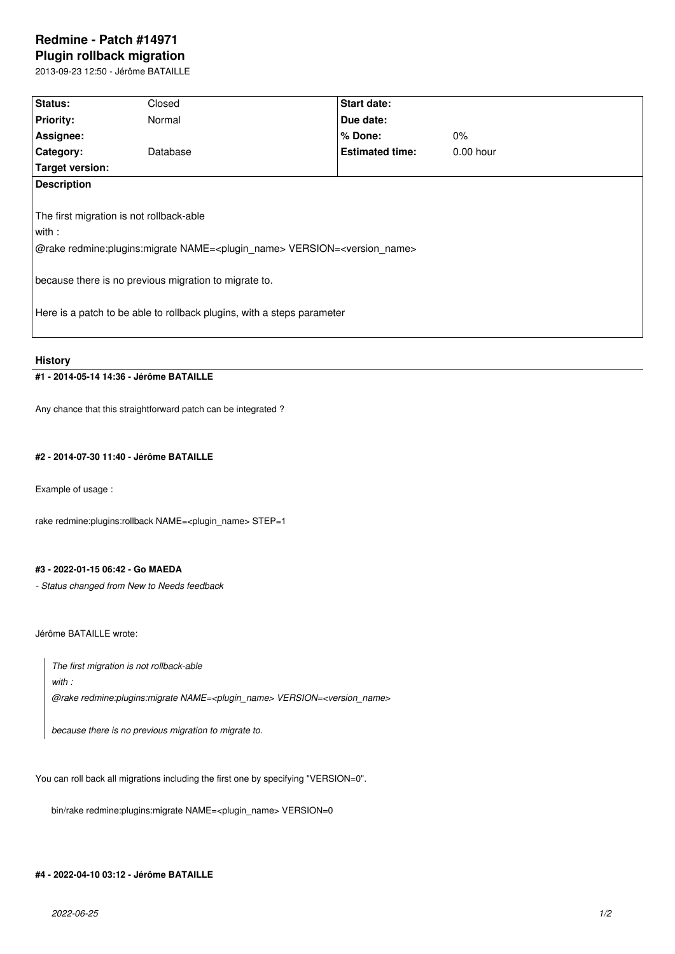# **Redmine - Patch #14971 Plugin rollback migration**

2013-09-23 12:50 - Jérôme BATAILLE

| Status:                                                                                                                                                                                                                                                                                          | Closed   | Start date:            |             |  |
|--------------------------------------------------------------------------------------------------------------------------------------------------------------------------------------------------------------------------------------------------------------------------------------------------|----------|------------------------|-------------|--|
| <b>Priority:</b>                                                                                                                                                                                                                                                                                 | Normal   | Due date:              |             |  |
| Assignee:                                                                                                                                                                                                                                                                                        |          | % Done:                | $0\%$       |  |
| Category:                                                                                                                                                                                                                                                                                        | Database | <b>Estimated time:</b> | $0.00$ hour |  |
| <b>Target version:</b>                                                                                                                                                                                                                                                                           |          |                        |             |  |
| <b>Description</b>                                                                                                                                                                                                                                                                               |          |                        |             |  |
| The first migration is not rollback-able<br>with :<br>@rake redmine:plugins:migrate NAME= <plugin_name> VERSION=<version_name><br/>because there is no previous migration to migrate to.<br/>Here is a patch to be able to rollback plugins, with a steps parameter</version_name></plugin_name> |          |                        |             |  |

**History**

# **#1 - 2014-05-14 14:36 - Jérôme BATAILLE**

Any chance that this straightforward patch can be integrated ?

# **#2 - 2014-07-30 11:40 - Jérôme BATAILLE**

Example of usage :

rake redmine:plugins:rollback NAME=<plugin\_name> STEP=1

#### **#3 - 2022-01-15 06:42 - Go MAEDA**

*- Status changed from New to Needs feedback*

Jérôme BATAILLE wrote:

*The first migration is not rollback-able*

*with :*

*@rake redmine:plugins:migrate NAME=<plugin\_name> VERSION=<version\_name>*

*because there is no previous migration to migrate to.*

You can roll back all migrations including the first one by specifying "VERSION=0".

bin/rake redmine:plugins:migrate NAME=<plugin\_name> VERSION=0

# **#4 - 2022-04-10 03:12 - Jérôme BATAILLE**